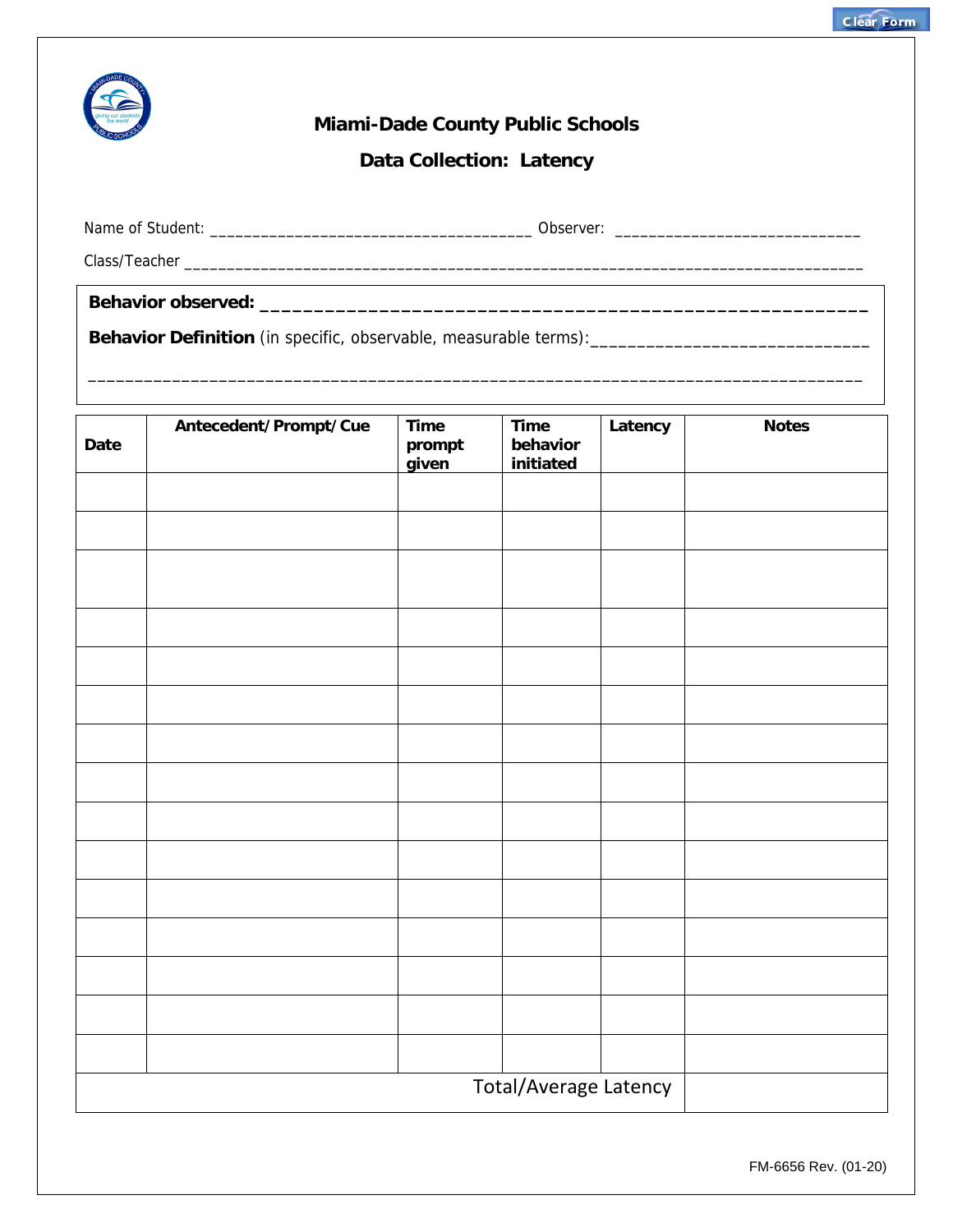

## **Miami-Dade County Public Schools**

**Data Collection: Latency** 

\_\_\_\_\_\_\_\_\_\_\_\_\_\_\_\_\_\_\_\_\_\_\_\_\_\_\_\_\_\_\_\_\_\_\_\_\_\_\_\_\_\_\_\_\_\_\_\_\_\_\_\_\_\_\_\_\_\_\_\_\_\_\_\_\_\_\_\_\_\_\_\_\_\_\_\_\_\_\_\_\_\_\_

Name of Student: \_\_\_\_\_\_\_\_\_\_\_\_\_\_\_\_\_\_\_\_\_\_\_\_\_\_\_\_\_\_\_\_\_\_\_\_\_\_ Observer: \_\_\_\_\_\_\_\_\_\_\_\_\_\_\_\_\_\_\_\_\_\_\_\_\_\_\_\_\_

Class/Teacher \_\_\_\_\_\_\_\_\_\_\_\_\_\_\_\_\_\_\_\_\_\_\_\_\_\_\_\_\_\_\_\_\_\_\_\_\_\_\_\_\_\_\_\_\_\_\_\_\_\_\_\_\_\_\_\_\_\_\_\_\_\_\_\_\_\_\_\_\_\_\_\_\_\_\_\_\_\_\_\_

**Behavior observed: \_\_\_\_\_\_\_\_\_\_\_\_\_\_\_\_\_\_\_\_\_\_\_\_\_\_\_\_\_\_\_\_\_\_\_\_\_\_\_\_\_\_\_\_\_\_\_\_\_\_\_\_\_\_\_\_** 

**Behavior Definition** (in specific, observable, measurable terms):\_\_\_\_\_\_\_\_\_\_\_\_\_\_\_\_\_\_\_\_\_\_\_\_\_\_\_\_\_\_

| Date                         | Antecedent/Prompt/Cue | Time<br>prompt<br>given | <b>Time</b><br>behavior<br>initiated | Latency | <b>Notes</b> |  |  |
|------------------------------|-----------------------|-------------------------|--------------------------------------|---------|--------------|--|--|
|                              |                       |                         |                                      |         |              |  |  |
|                              |                       |                         |                                      |         |              |  |  |
|                              |                       |                         |                                      |         |              |  |  |
|                              |                       |                         |                                      |         |              |  |  |
|                              |                       |                         |                                      |         |              |  |  |
|                              |                       |                         |                                      |         |              |  |  |
|                              |                       |                         |                                      |         |              |  |  |
|                              |                       |                         |                                      |         |              |  |  |
|                              |                       |                         |                                      |         |              |  |  |
|                              |                       |                         |                                      |         |              |  |  |
|                              |                       |                         |                                      |         |              |  |  |
|                              |                       |                         |                                      |         |              |  |  |
|                              |                       |                         |                                      |         |              |  |  |
|                              |                       |                         |                                      |         |              |  |  |
|                              |                       |                         |                                      |         |              |  |  |
| <b>Total/Average Latency</b> |                       |                         |                                      |         |              |  |  |

FM-6656 Rev. (01-20)